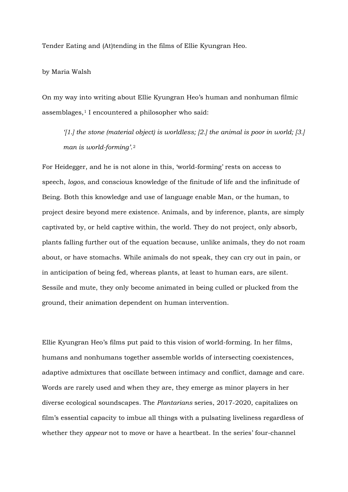Tender Eating and (At)tending in the films of Ellie Kyungran Heo.

## by Maria Walsh

On my way into writing about Ellie Kyungran Heo's human and nonhuman filmic assemblages,<sup>[1](#page-2-0)</sup> I encountered a philosopher who said:

*'[1.] the stone (material object) is worldless; [2.] the animal is poor in world; [3.] man is world-forming'*.[2](#page-2-1)

For Heidegger, and he is not alone in this, 'world-forming' rests on access to speech, *logos*, and conscious knowledge of the finitude of life and the infinitude of Being. Both this knowledge and use of language enable Man, or the human, to project desire beyond mere existence. Animals, and by inference, plants, are simply captivated by, or held captive within, the world. They do not project, only absorb, plants falling further out of the equation because, unlike animals, they do not roam about, or have stomachs. While animals do not speak, they can cry out in pain, or in anticipation of being fed, whereas plants, at least to human ears, are silent. Sessile and mute, they only become animated in being culled or plucked from the ground, their animation dependent on human intervention.

Ellie Kyungran Heo's films put paid to this vision of world-forming. In her films, humans and nonhumans together assemble worlds of intersecting coexistences, adaptive admixtures that oscillate between intimacy and conflict, damage and care. Words are rarely used and when they are, they emerge as minor players in her diverse ecological soundscapes. The *Plantarians* series, 2017-2020, capitalizes on film's essential capacity to imbue all things with a pulsating liveliness regardless of whether they *appear* not to move or have a heartbeat. In the series' four-channel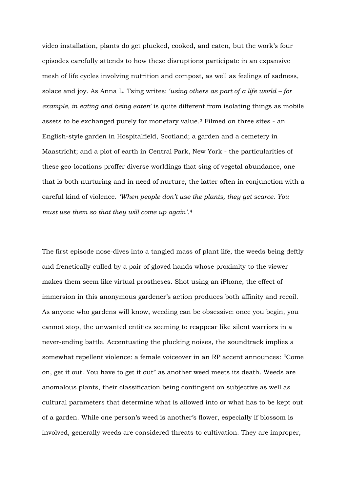video installation, plants do get plucked, cooked, and eaten, but the work's four episodes carefully attends to how these disruptions participate in an expansive mesh of life cycles involving nutrition and compost, as well as feelings of sadness, solace and joy. As Anna L. Tsing writes: '*using others as part of a life world – for example, in eating and being eaten*' is quite different from isolating things as mobile assets to be exchanged purely for monetary value.[3](#page-2-2) Filmed on three sites - an English-style garden in Hospitalfield, Scotland; a garden and a cemetery in Maastricht; and a plot of earth in Central Park, New York - the particularities of these geo-locations proffer diverse worldings that sing of vegetal abundance, one that is both nurturing and in need of nurture, the latter often in conjunction with a careful kind of violence. *'When people don't use the plants, they get scarce. You must use them so that they will come up again'*.[4](#page-2-3)

The first episode nose-dives into a tangled mass of plant life, the weeds being deftly and frenetically culled by a pair of gloved hands whose proximity to the viewer makes them seem like virtual prostheses. Shot using an iPhone, the effect of immersion in this anonymous gardener's action produces both affinity and recoil. As anyone who gardens will know, weeding can be obsessive: once you begin, you cannot stop, the unwanted entities seeming to reappear like silent warriors in a never-ending battle. Accentuating the plucking noises, the soundtrack implies a somewhat repellent violence: a female voiceover in an RP accent announces: "Come on, get it out. You have to get it out" as another weed meets its death. Weeds are anomalous plants, their classification being contingent on subjective as well as cultural parameters that determine what is allowed into or what has to be kept out of a garden. While one person's weed is another's flower, especially if blossom is involved, generally weeds are considered threats to cultivation. They are improper,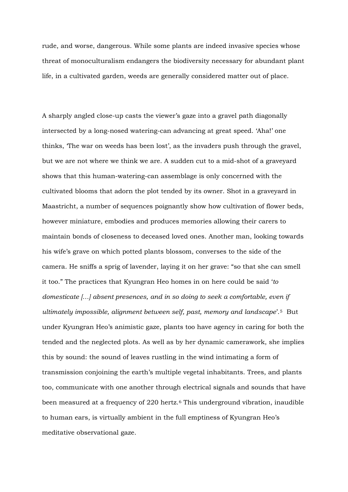rude, and worse, dangerous. While some plants are indeed invasive species whose threat of monoculturalism endangers the biodiversity necessary for abundant plant life, in a cultivated garden, weeds are generally considered matter out of place.

<span id="page-2-9"></span><span id="page-2-8"></span><span id="page-2-7"></span><span id="page-2-6"></span><span id="page-2-5"></span><span id="page-2-4"></span><span id="page-2-3"></span><span id="page-2-2"></span><span id="page-2-1"></span><span id="page-2-0"></span>A sharply angled close-up casts the viewer's gaze into a gravel path diagonally intersected by a long-nosed watering-can advancing at great speed. 'Aha!' one thinks, 'The war on weeds has been lost', as the invaders push through the gravel, but we are not where we think we are. A sudden cut to a mid-shot of a graveyard shows that this human-watering-can assemblage is only concerned with the cultivated blooms that adorn the plot tended by its owner. Shot in a graveyard in Maastricht, a number of sequences poignantly show how cultivation of flower beds, however miniature, embodies and produces memories allowing their carers to maintain bonds of closeness to deceased loved ones. Another man, looking towards his wife's grave on which potted plants blossom, converses to the side of the camera. He sniffs a sprig of lavender, laying it on her grave: "so that she can smell it too." The practices that Kyungran Heo homes in on here could be said '*to domesticate […] absent presences, and in so doing to seek a comfortable, even if ultimately impossible, alignment between self, past, memory and landscape*'.[5](#page-2-4) But under Kyungran Heo's animistic gaze, plants too have agency in caring for both the tended and the neglected plots. As well as by her dynamic camerawork, she implies this by sound: the sound of leaves rustling in the wind intimating a form of transmission conjoining the earth's multiple vegetal inhabitants. Trees, and plants too, communicate with one another through electrical signals and sounds that have been measured at a frequency of 220 hertz.<sup>[6](#page-2-5)</sup> This underground vibration, inaudible to human ears, is virtually ambient in the full emptiness of Kyungran Heo's meditative observational gaze.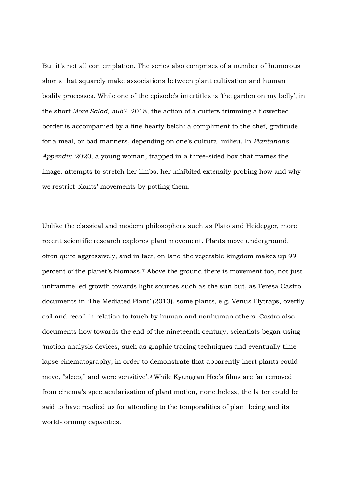<span id="page-3-6"></span><span id="page-3-5"></span><span id="page-3-4"></span><span id="page-3-3"></span><span id="page-3-2"></span><span id="page-3-1"></span><span id="page-3-0"></span>But it's not all contemplation. The series also comprises of a number of humorous shorts that squarely make associations between plant cultivation and human bodily processes. While one of the episode's intertitles is 'the garden on my belly', in the short *More Salad, huh?*, 2018, the action of a cutters trimming a flowerbed border is accompanied by a fine hearty belch: a compliment to the chef, gratitude for a meal, or bad manners, depending on one's cultural milieu. In *Plantarians Appendix*, 2020, a young woman, trapped in a three-sided box that frames the image, attempts to stretch her limbs, her inhibited extensity probing how and why we restrict plants' movements by potting them.

<span id="page-3-10"></span><span id="page-3-9"></span><span id="page-3-8"></span><span id="page-3-7"></span>Unlike the classical and modern philosophers such as Plato and Heidegger, more recent scientific research explores plant movement. Plants move underground, often quite aggressively, and in fact, on land the vegetable kingdom makes up 99 percent of the planet's biomass.[7](#page-2-6) Above the ground there is movement too, not just untrammelled growth towards light sources such as the sun but, as Teresa Castro documents in 'The Mediated Plant' (2013), some plants, e.g. Venus Flytraps, overtly coil and recoil in relation to touch by human and nonhuman others. Castro also documents how towards the end of the nineteenth century, scientists began using 'motion analysis devices, such as graphic tracing techniques and eventually timelapse cinematography, in order to demonstrate that apparently inert plants could move, "sleep," and were sensitive'.[8](#page-2-7) While Kyungran Heo's films are far removed from cinema's spectacularisation of plant motion, nonetheless, the latter could be said to have readied us for attending to the temporalities of plant being and its world-forming capacities.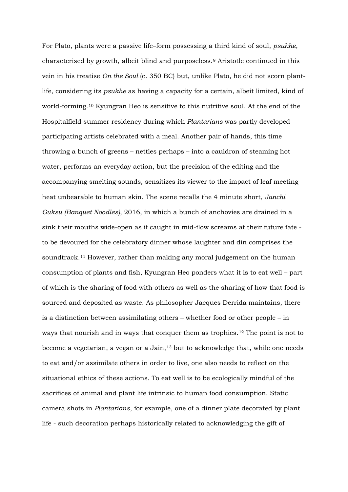For Plato, plants were a passive life–form possessing a third kind of soul, *psukhe*, characterised by growth, albeit blind and purposeless.[9](#page-2-8) Aristotle continued in this vein in his treatise *On the Soul* (c. 350 BC) but, unlike Plato, he did not scorn plantlife, considering its *psukhe* as having a capacity for a certain, albeit limited, kind of world-forming.[10](#page-2-9) Kyungran Heo is sensitive to this nutritive soul. At the end of the Hospitalfield summer residency during which *Plantarians* was partly developed participating artists celebrated with a meal. Another pair of hands, this time throwing a bunch of greens – nettles perhaps – into a cauldron of steaming hot water, performs an everyday action, but the precision of the editing and the accompanying smelting sounds, sensitizes its viewer to the impact of leaf meeting heat unbearable to human skin. The scene recalls the 4 minute short, *Janchi Guksu (Banquet Noodles)*, 2016, in which a bunch of anchovies are drained in a sink their mouths wide-open as if caught in mid-flow screams at their future fate to be devoured for the celebratory dinner whose laughter and din comprises the soundtrack.[11](#page-3-0) However, rather than making any moral judgement on the human consumption of plants and fish, Kyungran Heo ponders what it is to eat well – part of which is the sharing of food with others as well as the sharing of how that food is sourced and deposited as waste. As philosopher Jacques Derrida maintains, there is a distinction between assimilating others – whether food or other people – in ways that nourish and in ways that conquer them as trophies.[12](#page-3-1) The point is not to become a vegetarian, a vegan or a Jain,<sup>[13](#page-3-2)</sup> but to acknowledge that, while one needs to eat and/or assimilate others in order to live, one also needs to reflect on the situational ethics of these actions. To eat well is to be ecologically mindful of the sacrifices of animal and plant life intrinsic to human food consumption. Static camera shots in *Plantarians*, for example, one of a dinner plate decorated by plant life - such decoration perhaps historically related to acknowledging the gift of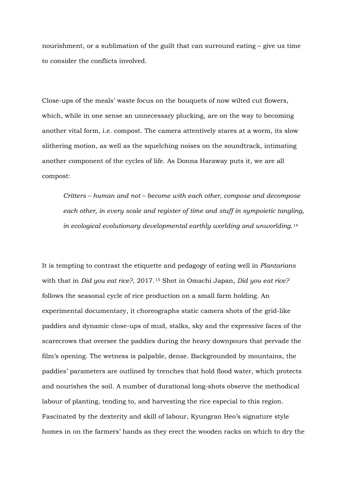nourishment, or a sublimation of the guilt that can surround eating – give us time to consider the conflicts involved.

Close-ups of the meals' waste focus on the bouquets of now wilted cut flowers, which, while in one sense an unnecessary plucking, are on the way to becoming another vital form, i.e. compost. The camera attentively stares at a worm, its slow slithering motion, as well as the squelching noises on the soundtrack, intimating another component of the cycles of life. As Donna Haraway puts it, we are all compost:

*Critters – human and not – become with each other, compose and decompose each other, in every scale and register of time and stuff in sympoietic tangling, in ecological evolutionary developmental earthly worlding and unworlding*.[14](#page-3-3)

It is tempting to contrast the etiquette and pedagogy of eating well in *Plantarians* with that in *Did you eat rice?*, 2017.[15](#page-3-4) Shot in Omachi Japan, *Did you eat rice?* follows the seasonal cycle of rice production on a small farm holding. An experimental documentary, it choreographs static camera shots of the grid-like paddies and dynamic close-ups of mud, stalks, sky and the expressive faces of the scarecrows that oversee the paddies during the heavy downpours that pervade the film's opening. The wetness is palpable, dense. Backgrounded by mountains, the paddies' parameters are outlined by trenches that hold flood water, which protects and nourishes the soil. A number of durational long-shots observe the methodical labour of planting, tending to, and harvesting the rice especial to this region. Fascinated by the dexterity and skill of labour, Kyungran Heo's signature style homes in on the farmers' hands as they erect the wooden racks on which to dry the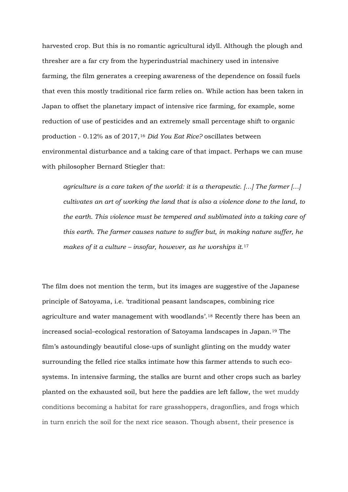harvested crop. But this is no romantic agricultural idyll. Although the plough and thresher are a far cry from the hyperindustrial machinery used in intensive farming, the film generates a creeping awareness of the dependence on fossil fuels that even this mostly traditional rice farm relies on. While action has been taken in Japan to offset the planetary impact of intensive rice farming, for example, some reduction of use of pesticides and an extremely small percentage shift to organic production - 0.12% as of 2017,[16](#page-3-5) *Did You Eat Rice?* oscillates between environmental disturbance and a taking care of that impact. Perhaps we can muse with philosopher Bernard Stiegler that:

*agriculture is a care taken of the world: it is a therapeutic. […] The farmer […] cultivates an art of working the land that is also a violence done to the land, to the earth. This violence must be tempered and sublimated into a taking care of this earth. The farmer causes nature to suffer but, in making nature suffer, he makes of it a culture – insofar, however, as he worships it*.[17](#page-3-6)

The film does not mention the term, but its images are suggestive of the Japanese principle of Satoyama, i.e. 'traditional peasant landscapes, combining rice agriculture and water management with woodlands'.[18](#page-3-7) Recently there has been an increased social–ecological restoration of Satoyama landscapes in Japan.[19](#page-3-8) The film's astoundingly beautiful close-ups of sunlight glinting on the muddy water surrounding the felled rice stalks intimate how this farmer attends to such ecosystems. In intensive farming, the stalks are burnt and other crops such as barley planted on the exhausted soil, but here the paddies are left fallow, the wet muddy conditions becoming a habitat for rare grasshoppers, dragonflies, and frogs which in turn enrich the soil for the next rice season. Though absent, their presence is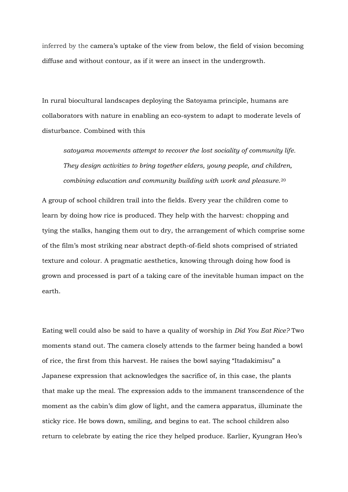inferred by the camera's uptake of the view from below, the field of vision becoming diffuse and without contour, as if it were an insect in the undergrowth.

In rural biocultural landscapes deploying the Satoyama principle, humans are collaborators with nature in enabling an eco-system to adapt to moderate levels of disturbance. Combined with this

*satoyama movements attempt to recover the lost sociality of community life. They design activities to bring together elders, young people, and children, combining education and community building with work and pleasure*.[20](#page-3-9)

A group of school children trail into the fields. Every year the children come to learn by doing how rice is produced. They help with the harvest: chopping and tying the stalks, hanging them out to dry, the arrangement of which comprise some of the film's most striking near abstract depth-of-field shots comprised of striated texture and colour. A pragmatic aesthetics, knowing through doing how food is grown and processed is part of a taking care of the inevitable human impact on the earth.

Eating well could also be said to have a quality of worship in *Did You Eat Rice?* Two moments stand out. The camera closely attends to the farmer being handed a bowl of rice, the first from this harvest. He raises the bowl saying "Itadakimisu" a Japanese expression that acknowledges the sacrifice of, in this case, the plants that make up the meal. The expression adds to the immanent transcendence of the moment as the cabin's dim glow of light, and the camera apparatus, illuminate the sticky rice. He bows down, smiling, and begins to eat. The school children also return to celebrate by eating the rice they helped produce. Earlier, Kyungran Heo's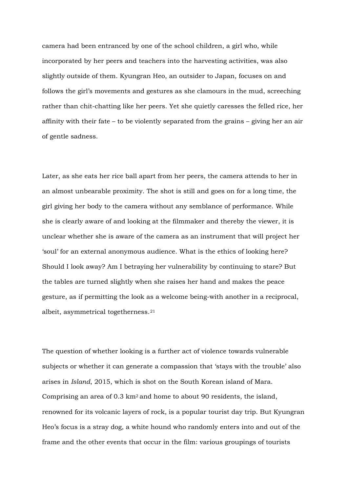camera had been entranced by one of the school children, a girl who, while incorporated by her peers and teachers into the harvesting activities, was also slightly outside of them. Kyungran Heo, an outsider to Japan, focuses on and follows the girl's movements and gestures as she clamours in the mud, screeching rather than chit-chatting like her peers. Yet she quietly caresses the felled rice, her affinity with their fate – to be violently separated from the grains – giving her an air of gentle sadness.

Later, as she eats her rice ball apart from her peers, the camera attends to her in an almost unbearable proximity. The shot is still and goes on for a long time, the girl giving her body to the camera without any semblance of performance. While she is clearly aware of and looking at the filmmaker and thereby the viewer, it is unclear whether she is aware of the camera as an instrument that will project her 'soul' for an external anonymous audience. What is the ethics of looking here? Should I look away? Am I betraying her vulnerability by continuing to stare? But the tables are turned slightly when she raises her hand and makes the peace gesture, as if permitting the look as a welcome being-with another in a reciprocal, albeit, asymmetrical togetherness.[21](#page-3-10)

The question of whether looking is a further act of violence towards vulnerable subjects or whether it can generate a compassion that 'stays with the trouble' also arises in *Island*, 2015, which is shot on the South Korean island of Mara. Comprising an area of 0.3  $km^2$  and home to about 90 residents, the island, renowned for its volcanic layers of rock, is a popular tourist day trip. But Kyungran Heo's focus is a stray dog, a white hound who randomly enters into and out of the frame and the other events that occur in the film: various groupings of tourists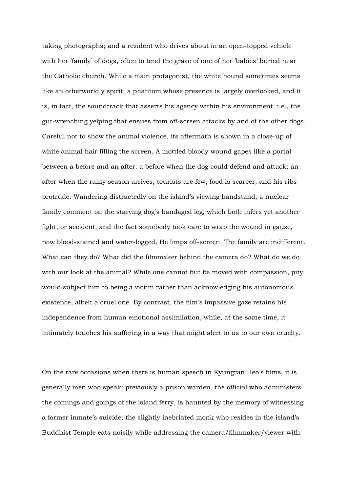taking photographs; and a resident who drives about in an open-topped vehicle with her 'family' of dogs, often to tend the grave of one of her 'babies' buried near the Catholic church. While a main protagonist, the white hound sometimes seems like an otherworldly spirit, a phantom whose presence is largely overlooked, and it is, in fact, the soundtrack that asserts his agency within his environment, i.e., the gut-wrenching yelping that ensues from off-screen attacks by and of the other dogs. Careful not to show the animal violence, its aftermath is shown in a close-up of white animal hair filling the screen. A mottled bloody wound gapes like a portal between a before and an after: a before when the dog could defend and attack; an after when the rainy season arrives, tourists are few, food is scarcer, and his ribs protrude. Wandering distractedly on the island's viewing bandstand, a nuclear family comment on the starving dog's bandaged leg, which both infers yet another fight, or accident, and the fact somebody took care to wrap the wound in gauze, now blood-stained and water-logged. He limps off-screen. The family are indifferent. What can they do? What did the filmmaker behind the camera do? What do we do with our look at the animal? While one cannot but be moved with compassion, pity would subject him to being a victim rather than acknowledging his autonomous existence, albeit a cruel one. By contrast, the film's impassive gaze retains his independence from human emotional assimilation, while, at the same time, it intimately touches his suffering in a way that might alert to us to our own cruelty.

On the rare occasions when there is human speech in Kyungran Heo's films, it is generally men who speak: previously a prison warden, the official who administers the comings and goings of the island ferry, is haunted by the memory of witnessing a former inmate's suicide; the slightly inebriated monk who resides in the island's Buddhist Temple eats noisily while addressing the camera/filmmaker/viewer with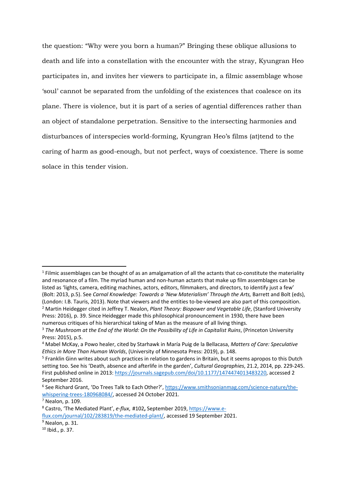the question: "Why were you born a human?" Bringing these oblique allusions to death and life into a constellation with the encounter with the stray, Kyungran Heo participates in, and invites her viewers to participate in, a filmic assemblage whose 'soul' cannot be separated from the unfolding of the existences that coalesce on its plane. There is violence, but it is part of a series of agential differences rather than an object of standalone perpetration. Sensitive to the intersecting harmonies and disturbances of interspecies world-forming, Kyungran Heo's films (at)tend to the caring of harm as good-enough, but not perfect, ways of coexistence. There is some solace in this tender vision.

 $1$  Filmic assemblages can be thought of as an amalgamation of all the actants that co-constitute the materiality and resonance of a film. The myriad human and non-human actants that make up film assemblages can be listed as 'lights, camera, editing machines, actors, editors, filmmakers, and directors, to identify just a few' (Bolt: 2013, p.5). See *Carnal Knowledge: Towards a 'New Materialism' Through the Arts,* Barrett and Bolt (eds), (London: I.B. Tauris, 2013). Note that viewers and the entities to-be-viewed are also part of this composition. <sup>2</sup> Martin Heidegger cited in Jeffrey T. Nealon, *Plant Theory: Biopower and Vegetable Life*, (Stanford University Press: 2016), p. 39. Since Heidegger made this philosophical pronouncement in 1930, there have been numerous critiques of his hierarchical taking of Man as the measure of all living things. **.** 

<sup>3</sup> *The Mushroom at the End of the World: On the Possibility of Life in Capitalist Ruins*, (Princeton University Press: 2015), p.5.

<sup>4</sup> Mabel McKay, a Powo healer, cited by Starhawk in María Puig de la Bellacasa, *Matters of Care: Speculative Ethics in More Than Human Worlds*, (University of Minnesota Press: 2019), p. 148.

<sup>5</sup> Franklin Ginn writes about such practices in relation to gardens in Britain, but it seems apropos to this Dutch setting too. See his 'Death, absence and afterlife in the garden', *Cultural Geographies*, 21.2, 2014, pp. 229-245. First published online in 2013[: https://journals.sagepub.com/doi/10.1177/1474474013483220,](https://journals.sagepub.com/doi/10.1177/1474474013483220) accessed 2 September 2016.

<sup>6</sup> See Richard Grant, 'Do Trees Talk to Each Other?'[, https://www.smithsonianmag.com/science-nature/the](https://www.smithsonianmag.com/science-nature/the-whispering-trees-180968084/)[whispering-trees-180968084/,](https://www.smithsonianmag.com/science-nature/the-whispering-trees-180968084/) accessed 24 October 2021.<br><sup>7</sup> Nealon, p. 109.

<sup>8</sup> Castro, 'The Mediated Plant', *e-flux*, #102**,** September 2019[, https://www.e-](https://www.e-flux.com/journal/102/283819/the-mediated-plant/)

[flux.com/journal/102/283819/the-mediated-plant/,](https://www.e-flux.com/journal/102/283819/the-mediated-plant/) accessed 19 September 2021.

<sup>&</sup>lt;sup>9</sup> Nealon, p. 31.

<sup>10</sup> Ibid., p. 37.